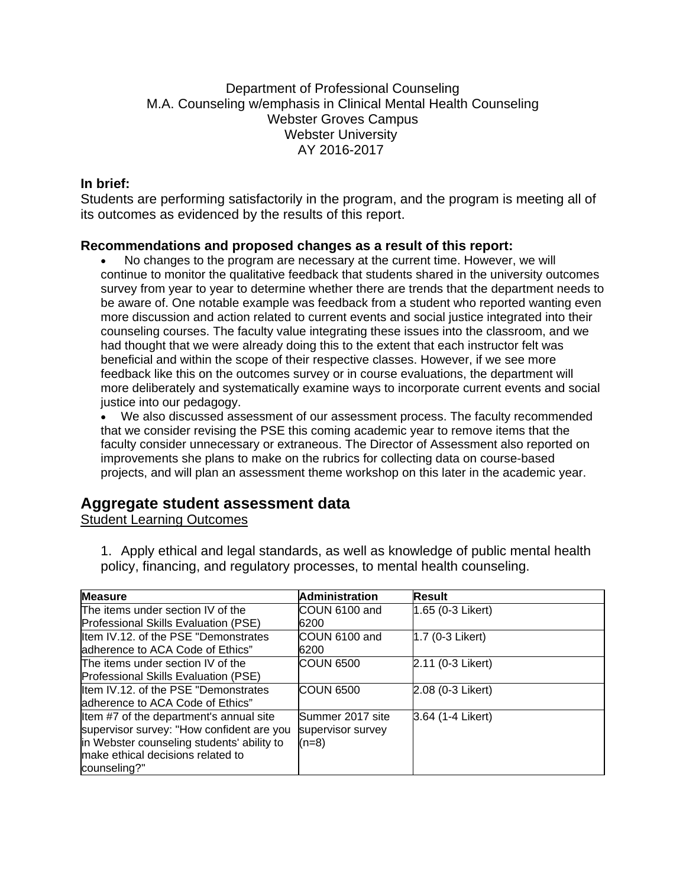#### Department of Professional Counseling M.A. Counseling w/emphasis in Clinical Mental Health Counseling Webster Groves Campus Webster University AY 2016-2017

#### **In brief:**

Students are performing satisfactorily in the program, and the program is meeting all of its outcomes as evidenced by the results of this report.

#### **Recommendations and proposed changes as a result of this report:**

 No changes to the program are necessary at the current time. However, we will continue to monitor the qualitative feedback that students shared in the university outcomes survey from year to year to determine whether there are trends that the department needs to be aware of. One notable example was feedback from a student who reported wanting even more discussion and action related to current events and social justice integrated into their counseling courses. The faculty value integrating these issues into the classroom, and we had thought that we were already doing this to the extent that each instructor felt was beneficial and within the scope of their respective classes. However, if we see more feedback like this on the outcomes survey or in course evaluations, the department will more deliberately and systematically examine ways to incorporate current events and social justice into our pedagogy.

 We also discussed assessment of our assessment process. The faculty recommended that we consider revising the PSE this coming academic year to remove items that the faculty consider unnecessary or extraneous. The Director of Assessment also reported on improvements she plans to make on the rubrics for collecting data on course-based projects, and will plan an assessment theme workshop on this later in the academic year.

## **Aggregate student assessment data**

Student Learning Outcomes

1. Apply ethical and legal standards, as well as knowledge of public mental health policy, financing, and regulatory processes, to mental health counseling.

| <b>Measure</b>                             | <b>Administration</b> | <b>Result</b>      |
|--------------------------------------------|-----------------------|--------------------|
| The items under section IV of the          | COUN 6100 and         | 1.65 (0-3 Likert)  |
| Professional Skills Evaluation (PSE)       | 6200                  |                    |
| Item IV.12, of the PSE "Demonstrates       | COUN 6100 and         | $1.7$ (0-3 Likert) |
| adherence to ACA Code of Ethics"           | 6200                  |                    |
| The items under section IV of the          | <b>COUN 6500</b>      | 2.11 (0-3 Likert)  |
| Professional Skills Evaluation (PSE)       |                       |                    |
| Item IV.12. of the PSE "Demonstrates       | <b>COUN 6500</b>      | 2.08 (0-3 Likert)  |
| ladherence to ACA Code of Ethics"          |                       |                    |
| Item #7 of the department's annual site    | Summer 2017 site      | 3.64 (1-4 Likert)  |
| supervisor survey: "How confident are you  | supervisor survey     |                    |
| in Webster counseling students' ability to | $(n=8)$               |                    |
| make ethical decisions related to          |                       |                    |
| counseling?"                               |                       |                    |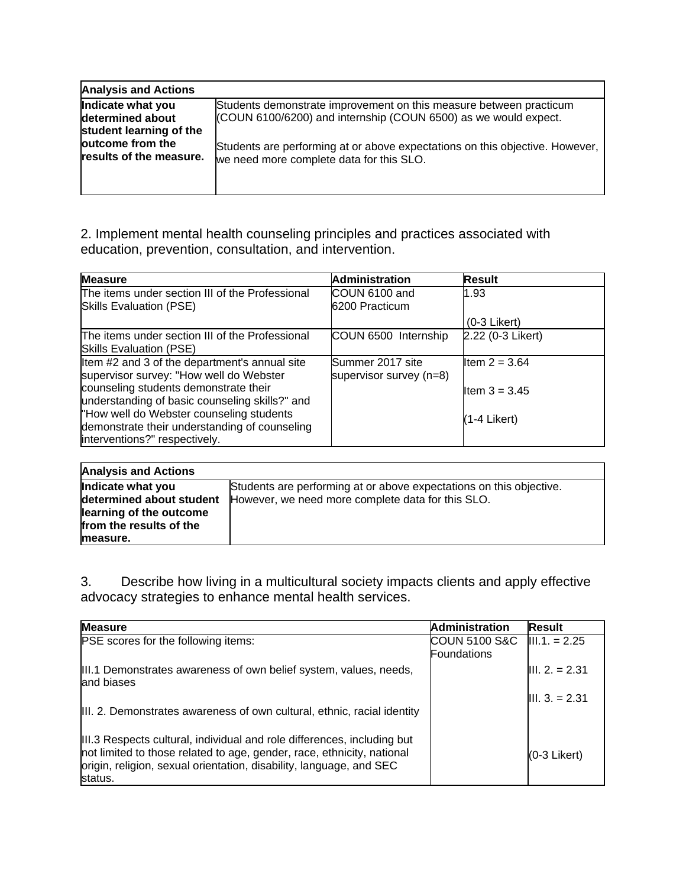| <b>Analysis and Actions</b>                                      |                                                                                                                                       |
|------------------------------------------------------------------|---------------------------------------------------------------------------------------------------------------------------------------|
| Indicate what you<br>determined about<br>student learning of the | Students demonstrate improvement on this measure between practicum<br>(COUN 6100/6200) and internship (COUN 6500) as we would expect. |
| outcome from the<br>results of the measure.                      | Students are performing at or above expectations on this objective. However,<br>we need more complete data for this SLO.              |
|                                                                  |                                                                                                                                       |

2. Implement mental health counseling principles and practices associated with education, prevention, consultation, and intervention.

| <b>Measure</b>                                                                                                             | <b>Administration</b>                       | <b>Result</b>     |
|----------------------------------------------------------------------------------------------------------------------------|---------------------------------------------|-------------------|
| The items under section III of the Professional<br>Skills Evaluation (PSE)                                                 | COUN 6100 and<br>6200 Practicum             | 1.93              |
|                                                                                                                            |                                             | $(0-3$ Likert)    |
| The items under section III of the Professional<br>Skills Evaluation (PSE)                                                 | COUN 6500 Internship                        | 2.22 (0-3 Likert) |
| Item #2 and 3 of the department's annual site<br>supervisor survey: "How well do Webster                                   | Summer 2017 site<br>supervisor survey (n=8) | Item $2 = 3.64$   |
| counseling students demonstrate their<br>understanding of basic counseling skills?" and                                    |                                             | Item $3 = 3.45$   |
| "How well do Webster counseling students<br>demonstrate their understanding of counseling<br>interventions?" respectively. |                                             | $(1-4$ Likert)    |

| <b>Analysis and Actions</b> |                                                                     |
|-----------------------------|---------------------------------------------------------------------|
| Indicate what you           | Students are performing at or above expectations on this objective. |
| determined about student    | However, we need more complete data for this SLO.                   |
| learning of the outcome     |                                                                     |
| from the results of the     |                                                                     |
| measure.                    |                                                                     |

3. Describe how living in a multicultural society impacts clients and apply effective advocacy strategies to enhance mental health services.

| <b>Measure</b>                                                                                                                                                                                                                      | <b>Administration</b> | <b>Result</b>    |
|-------------------------------------------------------------------------------------------------------------------------------------------------------------------------------------------------------------------------------------|-----------------------|------------------|
| <b>PSE</b> scores for the following items:                                                                                                                                                                                          | COUN 5100 S&C_        | $III.1 = 2.25$   |
|                                                                                                                                                                                                                                     | Foundations           |                  |
| III.1 Demonstrates awareness of own belief system, values, needs,<br>land biases                                                                                                                                                    |                       | $III. 2. = 2.31$ |
| III. 2. Demonstrates awareness of own cultural, ethnic, racial identity                                                                                                                                                             |                       | $III. 3. = 2.31$ |
| III.3 Respects cultural, individual and role differences, including but<br>not limited to those related to age, gender, race, ethnicity, national<br>origin, religion, sexual orientation, disability, language, and SEC<br>status. |                       | (0-3 Likert)     |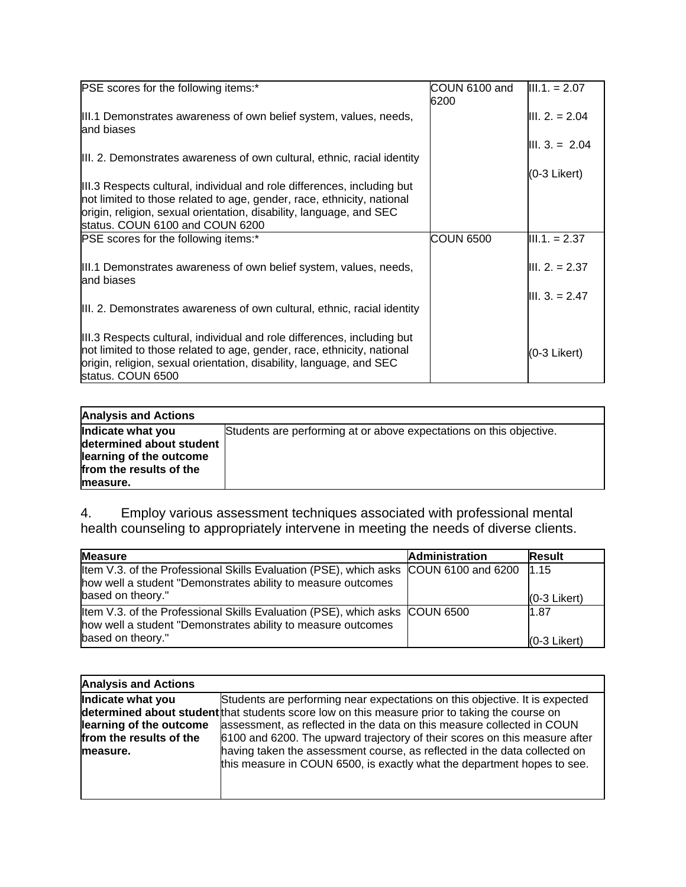| PSE scores for the following items:*                                                                                                                                                                                                          | COUN 6100 and<br>6200 | $III.1 = 2.07$   |
|-----------------------------------------------------------------------------------------------------------------------------------------------------------------------------------------------------------------------------------------------|-----------------------|------------------|
| III.1 Demonstrates awareness of own belief system, values, needs,<br>and biases                                                                                                                                                               |                       | $III. 2. = 2.04$ |
| III. 2. Demonstrates awareness of own cultural, ethnic, racial identity                                                                                                                                                                       |                       | $III. 3 = 2.04$  |
| III.3 Respects cultural, individual and role differences, including but                                                                                                                                                                       |                       | (0-3 Likert)     |
| not limited to those related to age, gender, race, ethnicity, national<br>origin, religion, sexual orientation, disability, language, and SEC<br>status. COUN 6100 and COUN 6200                                                              |                       |                  |
| PSE scores for the following items:*                                                                                                                                                                                                          | <b>COUN 6500</b>      | $III.1 = 2.37$   |
| III.1 Demonstrates awareness of own belief system, values, needs,<br>land biases                                                                                                                                                              |                       | $III. 2. = 2.37$ |
| III. 2. Demonstrates awareness of own cultural, ethnic, racial identity                                                                                                                                                                       |                       | $III. 3. = 2.47$ |
| III.3 Respects cultural, individual and role differences, including but<br>not limited to those related to age, gender, race, ethnicity, national<br>origin, religion, sexual orientation, disability, language, and SEC<br>status. COUN 6500 |                       | (0-3 Likert)     |

### **Analysis and Actions**

| Indicate what you        | Students are performing at or above expectations on this objective. |
|--------------------------|---------------------------------------------------------------------|
| determined about student |                                                                     |
| learning of the outcome  |                                                                     |
| from the results of the  |                                                                     |
| measure.                 |                                                                     |

4. Employ various assessment techniques associated with professional mental health counseling to appropriately intervene in meeting the needs of diverse clients.

| <b>Measure</b>                                                                                                                                        | <b>Administration</b> | <b>Result</b>  |
|-------------------------------------------------------------------------------------------------------------------------------------------------------|-----------------------|----------------|
| Item V.3. of the Professional Skills Evaluation (PSE), which asks COUN 6100 and 6200<br>how well a student "Demonstrates ability to measure outcomes" |                       | 11.15          |
| based on theory."                                                                                                                                     |                       | $(0-3$ Likert) |
| Item V.3. of the Professional Skills Evaluation (PSE), which asks COUN 6500<br>how well a student "Demonstrates ability to measure outcomes"          |                       | 1.87           |
| based on theory."                                                                                                                                     |                       | $(0-3$ Likert) |

# **Analysis and Actions**

| Indicate what you       | Students are performing near expectations on this objective. It is expected                                                                          |
|-------------------------|------------------------------------------------------------------------------------------------------------------------------------------------------|
|                         | determined about student that students score low on this measure prior to taking the course on                                                       |
| learning of the outcome | assessment, as reflected in the data on this measure collected in COUN                                                                               |
| from the results of the | 6100 and 6200. The upward trajectory of their scores on this measure after                                                                           |
| measure.                | having taken the assessment course, as reflected in the data collected on<br>this measure in COUN 6500, is exactly what the department hopes to see. |
|                         |                                                                                                                                                      |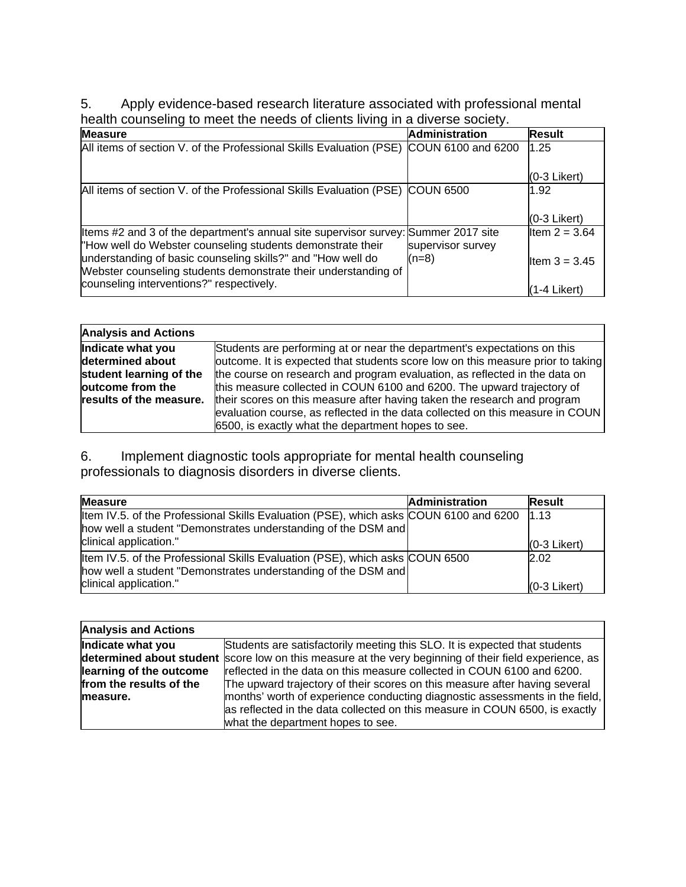5. Apply evidence-based research literature associated with professional mental health counseling to meet the needs of clients living in a diverse society.

| <b>Measure</b>                                                                                                                                                                                                  | <b>Administration</b>     | <b>Result</b>                   |
|-----------------------------------------------------------------------------------------------------------------------------------------------------------------------------------------------------------------|---------------------------|---------------------------------|
| All items of section V. of the Professional Skills Evaluation (PSE)                                                                                                                                             | <b>COUN 6100 and 6200</b> | 1.25                            |
|                                                                                                                                                                                                                 |                           | (0-3 Likert)                    |
| All items of section V. of the Professional Skills Evaluation (PSE) COUN 6500                                                                                                                                   |                           | 1.92                            |
|                                                                                                                                                                                                                 |                           | $(0-3$ Likert)                  |
| Items #2 and 3 of the department's annual site supervisor survey: Summer 2017 site<br>"How well do Webster counseling students demonstrate their<br>understanding of basic counseling skills?" and "How well do | supervisor survey         | Item $2 = 3.64$                 |
| Webster counseling students demonstrate their understanding of<br>counseling interventions?" respectively.                                                                                                      | $(n=8)$                   | Item $3 = 3.45$<br>(1-4 Likert) |

## **Analysis and Actions**

| Indicate what you       | Students are performing at or near the department's expectations on this        |
|-------------------------|---------------------------------------------------------------------------------|
| determined about        | outcome. It is expected that students score low on this measure prior to taking |
| student learning of the | the course on research and program evaluation, as reflected in the data on      |
| outcome from the        | this measure collected in COUN 6100 and 6200. The upward trajectory of          |
| results of the measure. | their scores on this measure after having taken the research and program        |
|                         | evaluation course, as reflected in the data collected on this measure in COUN   |
|                         | 6500, is exactly what the department hopes to see.                              |

 $\overline{1}$ 

6. Implement diagnostic tools appropriate for mental health counseling professionals to diagnosis disorders in diverse clients.

| <b>Measure</b>                                                                        | <b>Administration</b> | <b>Result</b>  |
|---------------------------------------------------------------------------------------|-----------------------|----------------|
| Item IV.5. of the Professional Skills Evaluation (PSE), which asks COUN 6100 and 6200 |                       | 1.13           |
| how well a student "Demonstrates understanding of the DSM and                         |                       |                |
| clinical application."                                                                |                       | $(0-3$ Likert) |
| Item IV.5. of the Professional Skills Evaluation (PSE), which asks COUN 6500          |                       | 2.02           |
| how well a student "Demonstrates understanding of the DSM and                         |                       |                |
| clinical application."                                                                |                       | $(0-3$ Likert) |

| <b>Analysis and Actions</b> |                                                                                                        |
|-----------------------------|--------------------------------------------------------------------------------------------------------|
| Indicate what you           | Students are satisfactorily meeting this SLO. It is expected that students                             |
|                             | determined about student score low on this measure at the very beginning of their field experience, as |
| learning of the outcome     | reflected in the data on this measure collected in COUN 6100 and 6200.                                 |
| from the results of the     | The upward trajectory of their scores on this measure after having several                             |
| measure.                    | months' worth of experience conducting diagnostic assessments in the field,                            |
|                             | as reflected in the data collected on this measure in COUN 6500, is exactly                            |
|                             | what the department hopes to see.                                                                      |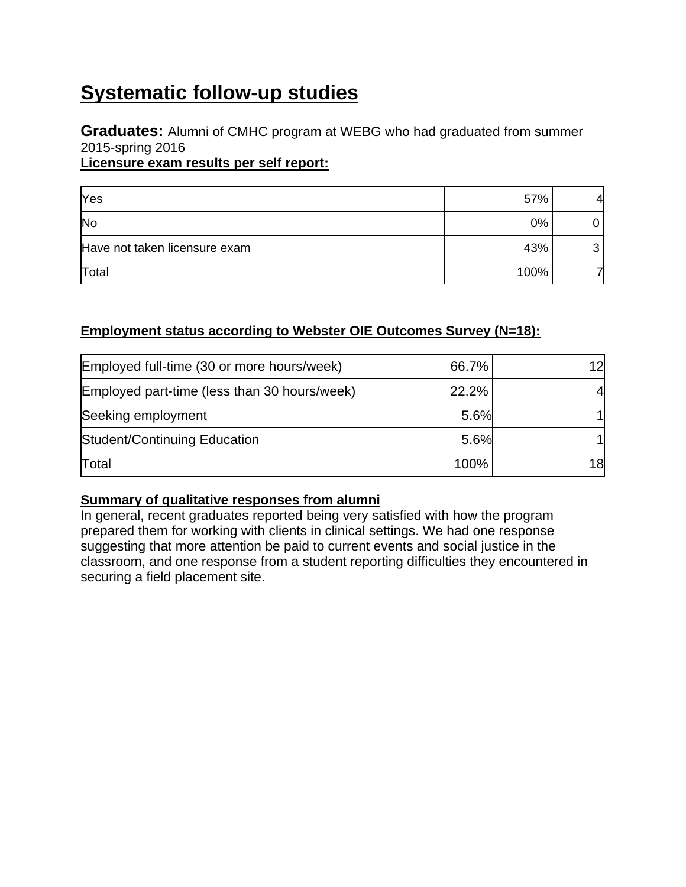# **Systematic follow-up studies**

**Graduates:** Alumni of CMHC program at WEBG who had graduated from summer 2015-spring 2016

**Licensure exam results per self report:**

| Yes                           | 57%  | 4      |
|-------------------------------|------|--------|
| No                            | 0%   | O      |
| Have not taken licensure exam | 43%  | 2<br>ບ |
| Total                         | 100% |        |

## **Employment status according to Webster OIE Outcomes Survey (N=18):**

| Employed full-time (30 or more hours/week)   | 66.7% | 12 |
|----------------------------------------------|-------|----|
| Employed part-time (less than 30 hours/week) | 22.2% | 4  |
| Seeking employment                           | 5.6%  |    |
| Student/Continuing Education                 | 5.6%  |    |
| Total                                        | 100%  | 18 |

### **Summary of qualitative responses from alumni**

In general, recent graduates reported being very satisfied with how the program prepared them for working with clients in clinical settings. We had one response suggesting that more attention be paid to current events and social justice in the classroom, and one response from a student reporting difficulties they encountered in securing a field placement site.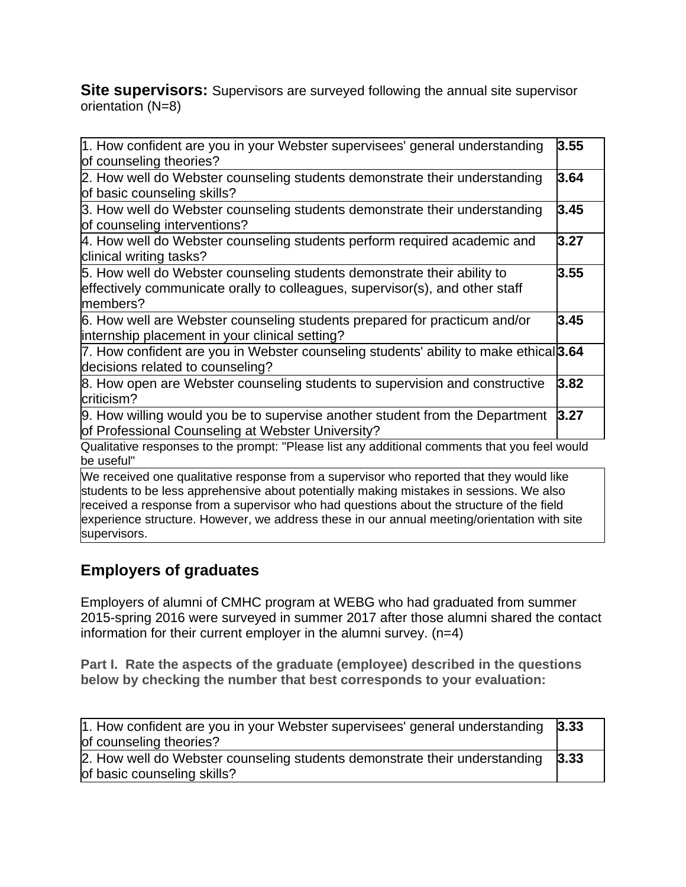**Site supervisors:** Supervisors are surveyed following the annual site supervisor orientation (N=8)

| 1. How confident are you in your Webster supervisees' general understanding<br>of counseling theories?                                                              | 3.55 |
|---------------------------------------------------------------------------------------------------------------------------------------------------------------------|------|
| 2. How well do Webster counseling students demonstrate their understanding<br>of basic counseling skills?                                                           | 3.64 |
| 3. How well do Webster counseling students demonstrate their understanding<br>of counseling interventions?                                                          | 3.45 |
| 4. How well do Webster counseling students perform required academic and<br>clinical writing tasks?                                                                 | 3.27 |
| 5. How well do Webster counseling students demonstrate their ability to<br>effectively communicate orally to colleagues, supervisor(s), and other staff<br>members? | 3.55 |
| 6. How well are Webster counseling students prepared for practicum and/or<br>internship placement in your clinical setting?                                         | 3.45 |
| 7. How confident are you in Webster counseling students' ability to make ethical 3.64<br>decisions related to counseling?                                           |      |
| 8. How open are Webster counseling students to supervision and constructive<br>criticism?                                                                           | 3.82 |
| 9. How willing would you be to supervise another student from the Department<br>of Professional Counseling at Webster University?                                   | 3.27 |
| Qualitative responses to the prompt: "Please list any additional comments that you feel would                                                                       |      |

be useful"

We received one qualitative response from a supervisor who reported that they would like students to be less apprehensive about potentially making mistakes in sessions. We also received a response from a supervisor who had questions about the structure of the field experience structure. However, we address these in our annual meeting/orientation with site supervisors.

# **Employers of graduates**

Employers of alumni of CMHC program at WEBG who had graduated from summer 2015-spring 2016 were surveyed in summer 2017 after those alumni shared the contact information for their current employer in the alumni survey. (n=4)

**Part I. Rate the aspects of the graduate (employee) described in the questions below by checking the number that best corresponds to your evaluation:** 

| 1. How confident are you in your Webster supervisees' general understanding $\vert 3.33$ |      |
|------------------------------------------------------------------------------------------|------|
| of counseling theories?                                                                  |      |
| 2. How well do Webster counseling students demonstrate their understanding               | 3.33 |
| of basic counseling skills?                                                              |      |